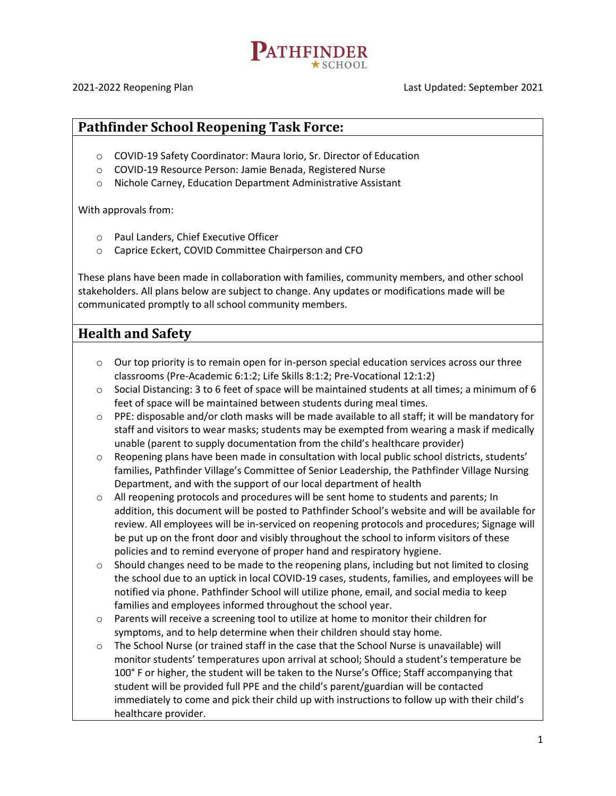

# **Pathfinder School Reopening Task Force:**

- o COVID-19 Safety Coordinator: Maura Iorio, Sr. Director of Education
- o COVID-19 Resource Person: Jamie Benada, Registered Nurse
- o Nichole Carney, Education Department Administrative Assistant

With approvals from:

- o Paul Landers, Chief Executive Officer
- o Caprice Eckert, COVID Committee Chairperson and CFO

These plans have been made in collaboration with families, community members, and other school stakeholders. All plans below are subject to change. Any updates or modifications made will be communicated promptly to all school community members.

# **Health and Safety**

- $\circ$  Our top priority is to remain open for in-person special education services across our three classrooms (Pre-Academic 6:1:2; Life Skills 8:1:2; Pre-Vocational 12:1:2)
- $\circ$  Social Distancing: 3 to 6 feet of space will be maintained students at all times; a minimum of 6 feet of space will be maintained between students during meal times.
- $\circ$  PPE: disposable and/or cloth masks will be made available to all staff; it will be mandatory for staff and visitors to wear masks; students may be exempted from wearing a mask if medically unable (parent to supply documentation from the child's healthcare provider)
- o Reopening plans have been made in consultation with local public school districts, students' families, Pathfinder Village's Committee of Senior Leadership, the Pathfinder Village Nursing Department, and with the support of our local department of health
- o All reopening protocols and procedures will be sent home to students and parents; In addition, this document will be posted to Pathfinder School's website and will be available for review. All employees will be in-serviced on reopening protocols and procedures; Signage will be put up on the front door and visibly throughout the school to inform visitors of these policies and to remind everyone of proper hand and respiratory hygiene.
- $\circ$  Should changes need to be made to the reopening plans, including but not limited to closing the school due to an uptick in local COVID-19 cases, students, families, and employees will be notified via phone. Pathfinder School will utilize phone, email, and social media to keep families and employees informed throughout the school year.
- o Parents will receive a screening tool to utilize at home to monitor their children for symptoms, and to help determine when their children should stay home.
- o The School Nurse (or trained staff in the case that the School Nurse is unavailable) will monitor students' temperatures upon arrival at school; Should a student's temperature be 100° F or higher, the student will be taken to the Nurse's Office; Staff accompanying that student will be provided full PPE and the child's parent/guardian will be contacted immediately to come and pick their child up with instructions to follow up with their child's healthcare provider.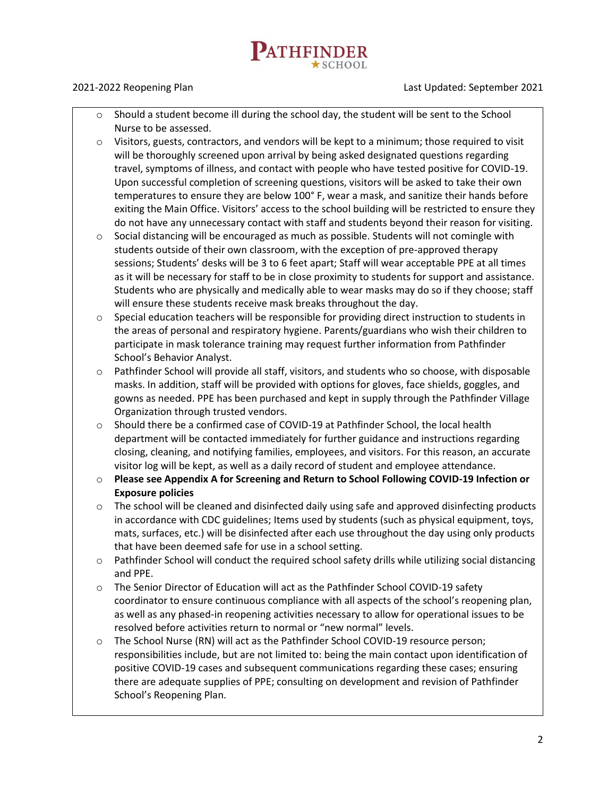

2021-2022 Reopening Plan Last Updated: September 2021

- $\circ$  Should a student become ill during the school day, the student will be sent to the School Nurse to be assessed.
- $\circ$  Visitors, guests, contractors, and vendors will be kept to a minimum; those required to visit will be thoroughly screened upon arrival by being asked designated questions regarding travel, symptoms of illness, and contact with people who have tested positive for COVID-19. Upon successful completion of screening questions, visitors will be asked to take their own temperatures to ensure they are below 100° F, wear a mask, and sanitize their hands before exiting the Main Office. Visitors' access to the school building will be restricted to ensure they do not have any unnecessary contact with staff and students beyond their reason for visiting.
- $\circ$  Social distancing will be encouraged as much as possible. Students will not comingle with students outside of their own classroom, with the exception of pre-approved therapy sessions; Students' desks will be 3 to 6 feet apart; Staff will wear acceptable PPE at all times as it will be necessary for staff to be in close proximity to students for support and assistance. Students who are physically and medically able to wear masks may do so if they choose; staff will ensure these students receive mask breaks throughout the day.
- $\circ$  Special education teachers will be responsible for providing direct instruction to students in the areas of personal and respiratory hygiene. Parents/guardians who wish their children to participate in mask tolerance training may request further information from Pathfinder School's Behavior Analyst.
- $\circ$  Pathfinder School will provide all staff, visitors, and students who so choose, with disposable masks. In addition, staff will be provided with options for gloves, face shields, goggles, and gowns as needed. PPE has been purchased and kept in supply through the Pathfinder Village Organization through trusted vendors.
- o Should there be a confirmed case of COVID-19 at Pathfinder School, the local health department will be contacted immediately for further guidance and instructions regarding closing, cleaning, and notifying families, employees, and visitors. For this reason, an accurate visitor log will be kept, as well as a daily record of student and employee attendance.
- o **Please see Appendix A for Screening and Return to School Following COVID-19 Infection or Exposure policies**
- $\circ$  The school will be cleaned and disinfected daily using safe and approved disinfecting products in accordance with CDC guidelines; Items used by students (such as physical equipment, toys, mats, surfaces, etc.) will be disinfected after each use throughout the day using only products that have been deemed safe for use in a school setting.
- $\circ$  Pathfinder School will conduct the required school safety drills while utilizing social distancing and PPE.
- o The Senior Director of Education will act as the Pathfinder School COVID-19 safety coordinator to ensure continuous compliance with all aspects of the school's reopening plan, as well as any phased-in reopening activities necessary to allow for operational issues to be resolved before activities return to normal or "new normal" levels.
- o The School Nurse (RN) will act as the Pathfinder School COVID-19 resource person; responsibilities include, but are not limited to: being the main contact upon identification of positive COVID-19 cases and subsequent communications regarding these cases; ensuring there are adequate supplies of PPE; consulting on development and revision of Pathfinder School's Reopening Plan.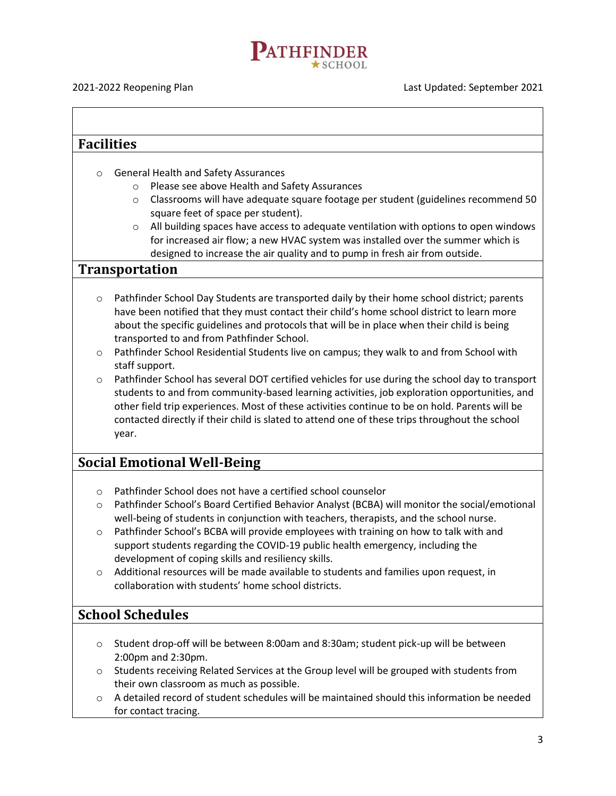

## **Facilities**

- o General Health and Safety Assurances
	- o Please see above Health and Safety Assurances
	- $\circ$  Classrooms will have adequate square footage per student (guidelines recommend 50 square feet of space per student).
	- o All building spaces have access to adequate ventilation with options to open windows for increased air flow; a new HVAC system was installed over the summer which is designed to increase the air quality and to pump in fresh air from outside.

## **Transportation**

- $\circ$  Pathfinder School Day Students are transported daily by their home school district; parents have been notified that they must contact their child's home school district to learn more about the specific guidelines and protocols that will be in place when their child is being transported to and from Pathfinder School.
- o Pathfinder School Residential Students live on campus; they walk to and from School with staff support.
- o Pathfinder School has several DOT certified vehicles for use during the school day to transport students to and from community-based learning activities, job exploration opportunities, and other field trip experiences. Most of these activities continue to be on hold. Parents will be contacted directly if their child is slated to attend one of these trips throughout the school year.

## **Social Emotional Well-Being**

- o Pathfinder School does not have a certified school counselor
- o Pathfinder School's Board Certified Behavior Analyst (BCBA) will monitor the social/emotional well-being of students in conjunction with teachers, therapists, and the school nurse.
- $\circ$  Pathfinder School's BCBA will provide employees with training on how to talk with and support students regarding the COVID-19 public health emergency, including the development of coping skills and resiliency skills.
- $\circ$  Additional resources will be made available to students and families upon request, in collaboration with students' home school districts.

# **School Schedules**

- o Student drop-off will be between 8:00am and 8:30am; student pick-up will be between 2:00pm and 2:30pm.
- $\circ$  Students receiving Related Services at the Group level will be grouped with students from their own classroom as much as possible.
- $\circ$  A detailed record of student schedules will be maintained should this information be needed for contact tracing.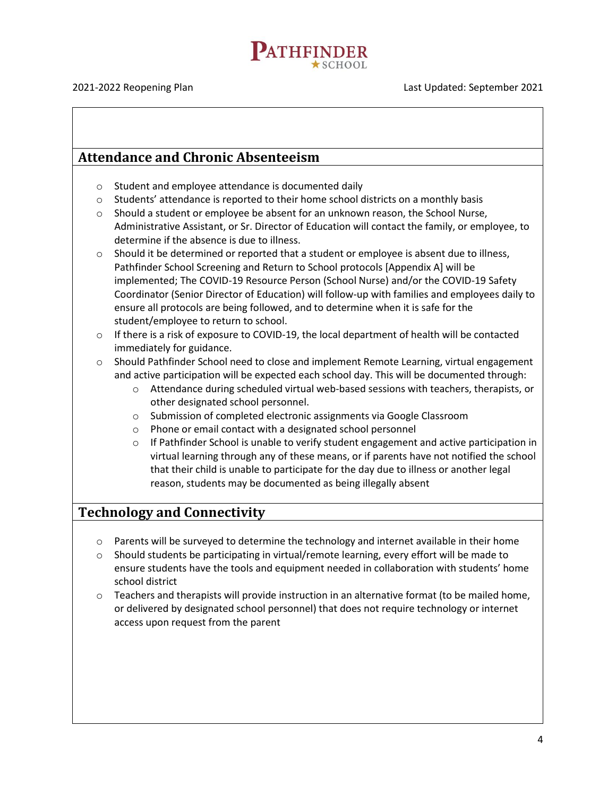

# **Attendance and Chronic Absenteeism** o Student and employee attendance is documented daily  $\circ$  Students' attendance is reported to their home school districts on a monthly basis o Should a student or employee be absent for an unknown reason, the School Nurse, Administrative Assistant, or Sr. Director of Education will contact the family, or employee, to determine if the absence is due to illness.  $\circ$  Should it be determined or reported that a student or employee is absent due to illness, Pathfinder School Screening and Return to School protocols [Appendix A] will be implemented; The COVID-19 Resource Person (School Nurse) and/or the COVID-19 Safety Coordinator (Senior Director of Education) will follow-up with families and employees daily to ensure all protocols are being followed, and to determine when it is safe for the student/employee to return to school.  $\circ$  If there is a risk of exposure to COVID-19, the local department of health will be contacted immediately for guidance. o Should Pathfinder School need to close and implement Remote Learning, virtual engagement and active participation will be expected each school day. This will be documented through: o Attendance during scheduled virtual web-based sessions with teachers, therapists, or other designated school personnel. o Submission of completed electronic assignments via Google Classroom o Phone or email contact with a designated school personnel

 $\circ$  If Pathfinder School is unable to verify student engagement and active participation in virtual learning through any of these means, or if parents have not notified the school that their child is unable to participate for the day due to illness or another legal reason, students may be documented as being illegally absent

# **Technology and Connectivity**

- o Parents will be surveyed to determine the technology and internet available in their home
- $\circ$  Should students be participating in virtual/remote learning, every effort will be made to ensure students have the tools and equipment needed in collaboration with students' home school district
- $\circ$  Teachers and therapists will provide instruction in an alternative format (to be mailed home, or delivered by designated school personnel) that does not require technology or internet access upon request from the parent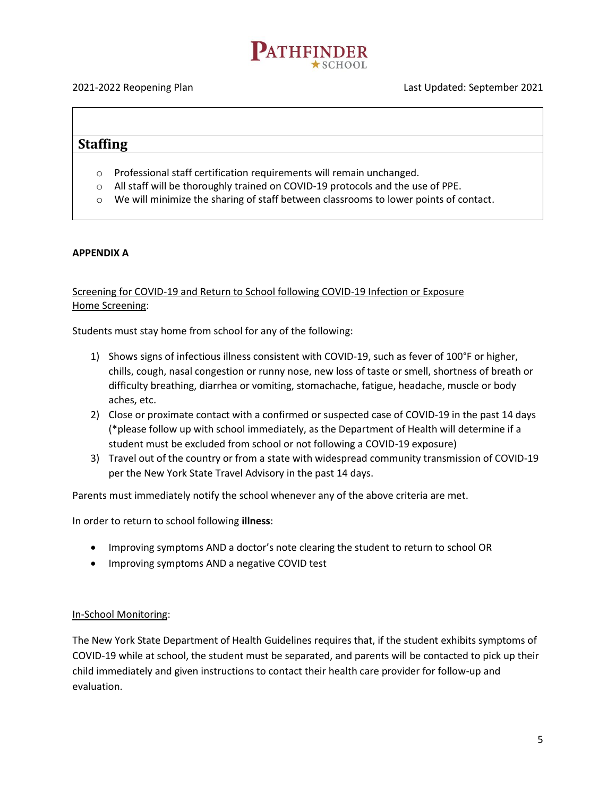

2021-2022 Reopening Plan Last Updated: September 2021

## **Staffing**

- o Professional staff certification requirements will remain unchanged.
- o All staff will be thoroughly trained on COVID-19 protocols and the use of PPE.
- o We will minimize the sharing of staff between classrooms to lower points of contact.

## **APPENDIX A**

## Screening for COVID-19 and Return to School following COVID-19 Infection or Exposure Home Screening:

Students must stay home from school for any of the following:

- 1) Shows signs of infectious illness consistent with COVID-19, such as fever of 100°F or higher, chills, cough, nasal congestion or runny nose, new loss of taste or smell, shortness of breath or difficulty breathing, diarrhea or vomiting, stomachache, fatigue, headache, muscle or body aches, etc.
- 2) Close or proximate contact with a confirmed or suspected case of COVID-19 in the past 14 days (\*please follow up with school immediately, as the Department of Health will determine if a student must be excluded from school or not following a COVID-19 exposure)
- 3) Travel out of the country or from a state with widespread community transmission of COVID-19 per the New York State Travel Advisory in the past 14 days.

Parents must immediately notify the school whenever any of the above criteria are met.

In order to return to school following **illness**:

- Improving symptoms AND a doctor's note clearing the student to return to school OR
- Improving symptoms AND a negative COVID test

## In-School Monitoring:

The New York State Department of Health Guidelines requires that, if the student exhibits symptoms of COVID-19 while at school, the student must be separated, and parents will be contacted to pick up their child immediately and given instructions to contact their health care provider for follow-up and evaluation.